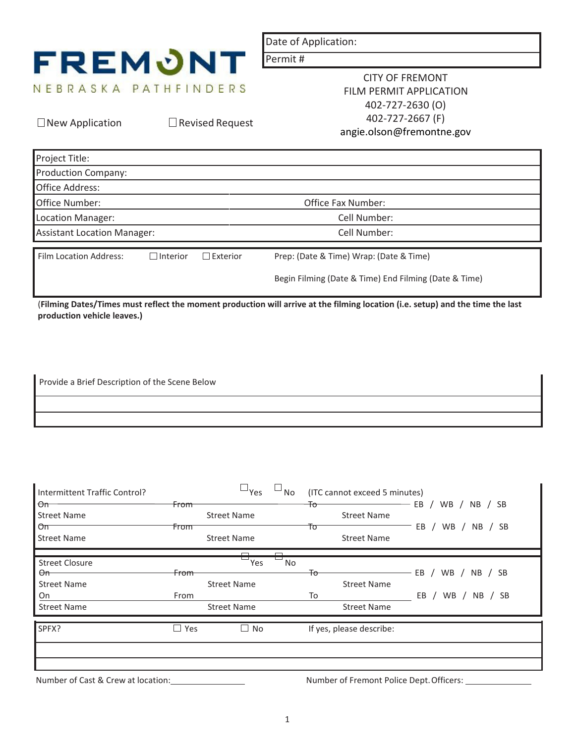

 $\Box$  New Application  $\Box$  Revised Request

Date of Application:

Permit #

CITY OF FREMONT FILM PERMIT APPLICATION 402-727-2630 (O) 402-727-2667 (F) angie.olson@fremontne.gov

| Project Title:                       |                 |                 |                                                       |  |  |  |
|--------------------------------------|-----------------|-----------------|-------------------------------------------------------|--|--|--|
| <b>Production Company:</b>           |                 |                 |                                                       |  |  |  |
| Office Address:                      |                 |                 |                                                       |  |  |  |
| Office Number:<br>Office Fax Number: |                 |                 |                                                       |  |  |  |
| Location Manager:                    |                 |                 | Cell Number:                                          |  |  |  |
| <b>Assistant Location Manager:</b>   |                 |                 | Cell Number:                                          |  |  |  |
| Film Location Address:               | $\Box$ Interior | $\Box$ Exterior | Prep: (Date & Time) Wrap: (Date & Time)               |  |  |  |
|                                      |                 |                 | Begin Filming (Date & Time) End Filming (Date & Time) |  |  |  |

(**Filming Dates/Times must reflect the moment production will arrive at the filming location (i.e. setup) and the time the last production vehicle leaves.)**

Provide a Brief Description of the Scene Below

| Intermittent Traffic Control?<br>$\Theta$ m | <b>From</b>     | $\Box$ Yes         | No           | (ITC cannot exceed 5 minutes)<br>Ŧσ | EB<br>WB / NB / SB                                |
|---------------------------------------------|-----------------|--------------------|--------------|-------------------------------------|---------------------------------------------------|
| <b>Street Name</b>                          |                 | <b>Street Name</b> |              | <b>Street Name</b>                  |                                                   |
| $\sigma$<br><b>Street Name</b>              | From            | <b>Street Name</b> |              | Τo<br><b>Street Name</b>            | EB<br>WB<br>NB / SB                               |
| <b>Street Closure</b>                       |                 | Yes                | $\Box$<br>No |                                     |                                                   |
| $\Theta$ m                                  | <del>From</del> |                    |              | Ŧо                                  | $EB$ /<br>WB<br>NB / SB                           |
| <b>Street Name</b>                          |                 | <b>Street Name</b> |              | <b>Street Name</b>                  |                                                   |
| On                                          | From            |                    |              | To                                  | EB<br><b>WB</b><br>NB.<br><b>SB</b><br>$\sqrt{2}$ |
| <b>Street Name</b>                          |                 | <b>Street Name</b> |              | <b>Street Name</b>                  |                                                   |
| SPFX?                                       | Yes<br>$\Box$   | $\Box$ No          |              | If yes, please describe:            |                                                   |
|                                             |                 |                    |              |                                     |                                                   |
|                                             |                 |                    |              |                                     |                                                   |

Number of Cast & Crew at location: Number of Fremont Police Dept. Officers: Number of Fremont Police Dept. Officers: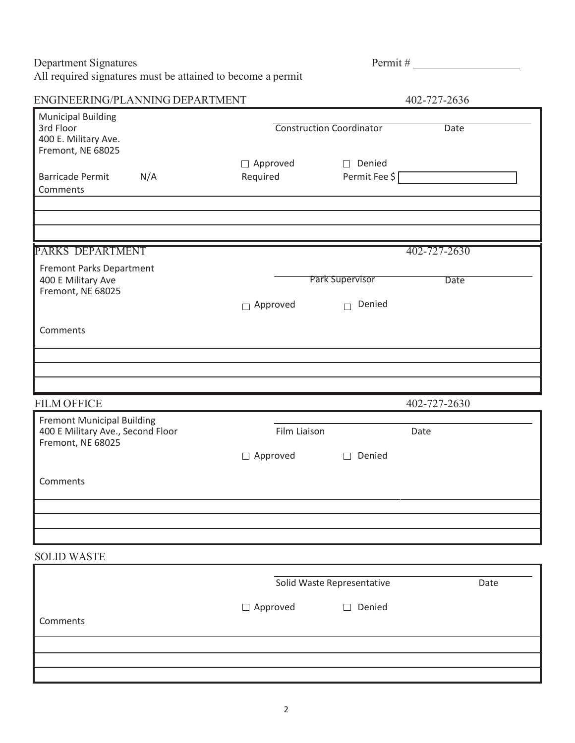Department Signatures Permit # All required signatures must be attained to become a permit

| ENGINEERING/PLANNING DEPARTMENT                                                             |     |                             |                                     | 402-727-2636 |      |
|---------------------------------------------------------------------------------------------|-----|-----------------------------|-------------------------------------|--------------|------|
| <b>Municipal Building</b><br>3rd Floor<br>400 E. Military Ave.<br>Fremont, NE 68025         |     |                             | <b>Construction Coordinator</b>     | Date         |      |
| <b>Barricade Permit</b><br>Comments                                                         | N/A | $\Box$ Approved<br>Required | $\Box$ Denied<br>Permit Fee \$      |              |      |
|                                                                                             |     |                             |                                     |              |      |
| PARKS DEPARTMENT                                                                            |     |                             |                                     | 402-727-2630 |      |
| Fremont Parks Department<br>400 E Military Ave<br>Fremont, NE 68025                         |     | $\Box$ Approved             | Park Supervisor<br>Denied<br>$\Box$ | Date         |      |
| Comments                                                                                    |     |                             |                                     |              |      |
|                                                                                             |     |                             |                                     |              |      |
|                                                                                             |     |                             |                                     |              |      |
|                                                                                             |     |                             |                                     |              |      |
| <b>FILM OFFICE</b>                                                                          |     |                             |                                     | 402-727-2630 |      |
| <b>Fremont Municipal Building</b><br>400 E Military Ave., Second Floor<br>Fremont, NE 68025 |     | Film Liaison                |                                     | Date         |      |
| Comments                                                                                    |     | $\Box$ Approved             | $\Box$ Denied                       |              |      |
|                                                                                             |     |                             |                                     |              |      |
| <b>SOLID WASTE</b>                                                                          |     |                             |                                     |              |      |
|                                                                                             |     |                             | Solid Waste Representative          |              | Date |
| Comments                                                                                    |     | $\Box$ Approved             | $\Box$ Denied                       |              |      |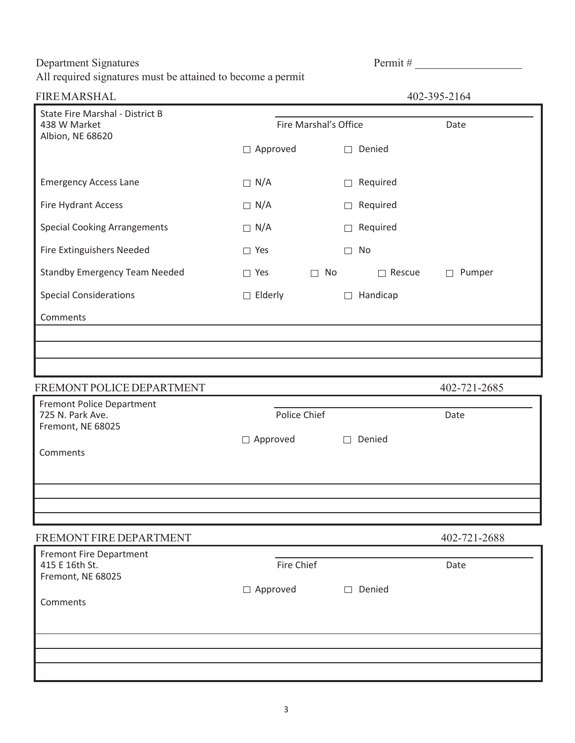Department Signatures **Permit #** 

All required signatures must be attained to become a permit

| <b>FIREMARSHAL</b>                                                         |                       |              |         |               | 402-395-2164     |
|----------------------------------------------------------------------------|-----------------------|--------------|---------|---------------|------------------|
| <b>State Fire Marshal - District B</b><br>438 W Market<br>Albion, NE 68620 | Fire Marshal's Office |              |         |               | Date             |
|                                                                            | $\Box$ Approved       |              | $\perp$ | Denied        |                  |
| <b>Emergency Access Lane</b>                                               | $\Box$ N/A            |              | $\Box$  | Required      |                  |
| Fire Hydrant Access                                                        | $\Box$ N/A            |              | $\Box$  | Required      |                  |
| <b>Special Cooking Arrangements</b>                                        | $\Box$ N/A            |              | $\Box$  | Required      |                  |
| Fire Extinguishers Needed                                                  | $\Box$ Yes            |              | $\Box$  | No            |                  |
| <b>Standby Emergency Team Needed</b>                                       | $\Box$ Yes            | No<br>$\Box$ |         | $\Box$ Rescue | Pumper<br>$\Box$ |
| <b>Special Considerations</b>                                              | $\Box$ Elderly        |              | $\Box$  | Handicap      |                  |
| Comments                                                                   |                       |              |         |               |                  |
|                                                                            |                       |              |         |               |                  |
|                                                                            |                       |              |         |               |                  |
| FREMONT POLICE DEPARTMENT                                                  |                       |              |         |               | 402-721-2685     |
| <b>Fremont Police Department</b><br>725 N. Park Ave.<br>Fremont, NE 68025  | Police Chief          |              |         |               | Date             |
|                                                                            | $\Box$ Approved       |              |         | Denied        |                  |
| Comments                                                                   |                       |              |         |               |                  |
|                                                                            |                       |              |         |               |                  |
|                                                                            |                       |              |         |               |                  |
|                                                                            |                       |              |         |               | 402-721-2688     |
| FREMONT FIRE DEPARTMENT                                                    |                       |              |         |               |                  |
| <b>Fremont Fire Department</b><br>415 E 16th St.<br>Fremont, NE 68025      | Fire Chief            |              |         |               | Date             |
| Comments                                                                   | $\Box$ Approved       |              | П       | Denied        |                  |
|                                                                            |                       |              |         |               |                  |